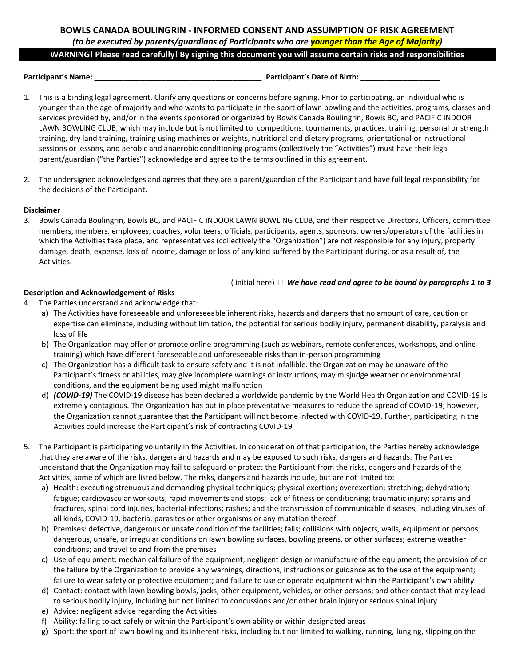# **BOWLS CANADA BOULINGRIN - INFORMED CONSENT AND ASSUMPTION OF RISK AGREEMENT** *(to be executed by parents/guardians of Participants who are younger than the Age of Majority)*

#### **WARNING! Please read carefully! By signing this document you will assume certain risks and responsibilities**

**Parƚicipanƚ͛Ɛ Name͗ ͺͺͺͺͺͺͺͺͺͺͺͺͺͺͺͺͺͺͺͺͺͺͺͺͺͺͺͺͺͺͺͺͺͺͺͺͺͺͺͺ Parƚicipanƚ͛Ɛ Daƚe of Birƚh͗ ͺͺͺͺͺͺͺͺͺͺͺͺͺͺͺͺͺͺͺ**

- 1. This is a binding legal agreement. Clarify any questions or concerns before signing. Prior to participating, an individual who is younger than the age of majority and who wants to participate in the sport of lawn bowling and the activities, programs, classes and services provided by, and/or in the events sponsored or organized by Bowls Canada Boulingrin, Bowls BC, and PACIFIC INDOOR LAWN BOWLING CLUB, which may include but is not limited to: competitions, tournaments, practices, training, personal or strength training, dry land training, training using machines or weights, nutritional and dietary programs, orientational or instructional sessions or lessons, and aerobic and anaerobic conditioning programs (collectively the "Activities") must have their legal parent/guardian ("the Parties") acknowledge and agree to the terms outlined in this agreement.
- 2. The undersigned acknowledges and agrees that they are a parent/guardian of the Participant and have full legal responsibility for the decisions of the Participant.

# **Disclaimer**

3. Bowls Canada Boulingrin, Bowls BC, and PACIFIC INDOOR LAWN BOWLING CLUB, and their respective Directors, Officers, committee members, members, employees, coaches, volunteers, officials, participants, agents, sponsors, owners/operators of the facilities in which the Activities take place, and representatives (collectively the "Organization") are not responsible for any injury, property damage, death, expense, loss of income, damage or loss of any kind suffered by the Participant during, or as a result of, the Activities.

#### ( initial here) *We have read and agree to be bound by paragraphs 1 to 3*

# **Description and Acknowledgement of Risks**

- 4. The Parties understand and acknowledge that:
	- a) The Activities have foreseeable and unforeseeable inherent risks, hazards and dangers that no amount of care, caution or expertise can eliminate, including without limitation, the potential for serious bodily injury, permanent disability, paralysis and loss of life
	- b) The Organization may offer or promote online programming (such as webinars, remote conferences, workshops, and online training) which have different foreseeable and unforeseeable risks than in-person programming
	- c) The Organization has a difficult task to ensure safety and it is not infallible. the Organization may be unaware of the Participant's fitness or abilities, may give incomplete warnings or instructions, may misjudge weather or environmental conditions, and the equipment being used might malfunction
	- d) *(COVID-19)* The COVID-19 disease has been declared a worldwide pandemic by the World Health Organization and COVID-19 is extremely contagious. The Organization has put in place preventative measures to reduce the spread of COVID-19; however, the Organization cannot guarantee that the Participant will not become infected with COVID-19. Further, participating in the Activities could increase the Participant's risk of contracting COVID-19
- 5. The Participant is participating voluntarily in the Activities. In consideration of that participation, the Parties hereby acknowledge that they are aware of the risks, dangers and hazards and may be exposed to such risks, dangers and hazards. The Parties understand that the Organization may fail to safeguard or protect the Participant from the risks, dangers and hazards of the Activities, some of which are listed below. The risks, dangers and hazards include, but are not limited to:
	- a) Health: executing strenuous and demanding physical techniques; physical exertion; overexertion; stretching; dehydration; fatigue; cardiovascular workouts; rapid movements and stops; lack of fitness or conditioning; traumatic injury; sprains and fractures, spinal cord injuries, bacterial infections; rashes; and the transmission of communicable diseases, including viruses of all kinds, COVID-19, bacteria, parasites or other organisms or any mutation thereof
	- b) Premises: defective, dangerous or unsafe condition of the facilities; falls; collisions with objects, walls, equipment or persons; dangerous, unsafe, or irregular conditions on lawn bowling surfaces, bowling greens, or other surfaces; extreme weather conditions; and travel to and from the premises
	- c) Use of equipment: mechanical failure of the equipment; negligent design or manufacture of the equipment; the provision of or the failure by the Organization to provide any warnings, directions, instructions or guidance as to the use of the equipment; failure to wear safety or protective equipment; and failure to use or operate equipment within the Participant's own ability
	- d) Contact: contact with lawn bowling bowls, jacks, other equipment, vehicles, or other persons; and other contact that may lead to serious bodily injury, including but not limited to concussions and/or other brain injury or serious spinal injury
	- e) Advice: negligent advice regarding the Activities
	- f) Ability: failing to act safely or within the Participant's own ability or within designated areas
	- g) Sport: the sport of lawn bowling and its inherent risks, including but not limited to walking, running, lunging, slipping on the